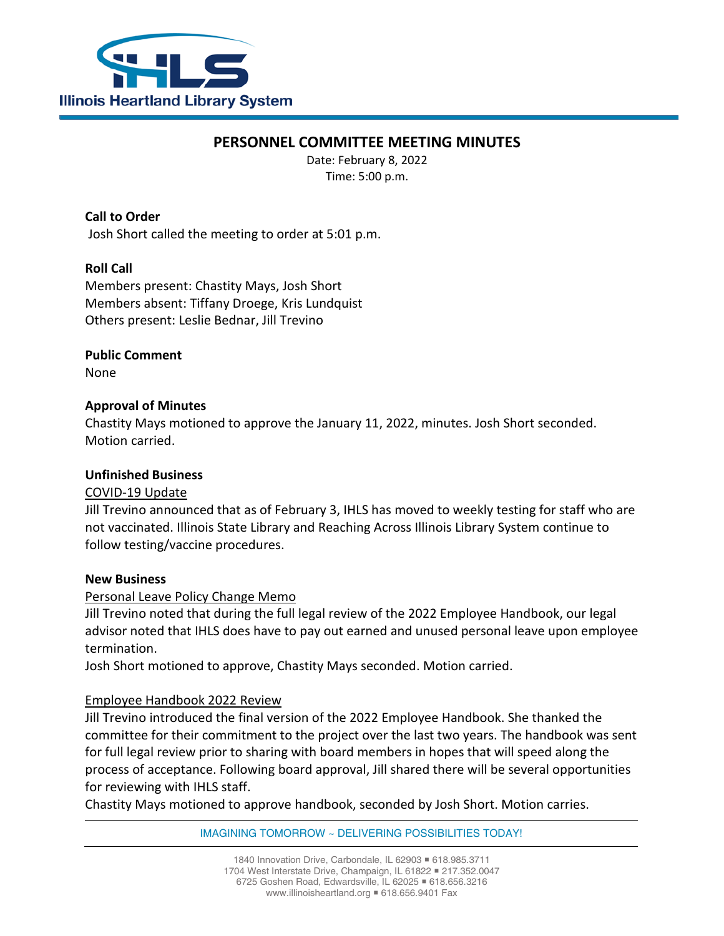

# **PERSONNEL COMMITTEE MEETING MINUTES**

Date: February 8, 2022 Time: 5:00 p.m.

## **Call to Order**

Josh Short called the meeting to order at 5:01 p.m.

# **Roll Call**

Members present: Chastity Mays, Josh Short Members absent: Tiffany Droege, Kris Lundquist Others present: Leslie Bednar, Jill Trevino

**Public Comment** None

### **Approval of Minutes**

Chastity Mays motioned to approve the January 11, 2022, minutes. Josh Short seconded. Motion carried.

#### **Unfinished Business**

### COVID-19 Update

Jill Trevino announced that as of February 3, IHLS has moved to weekly testing for staff who are not vaccinated. Illinois State Library and Reaching Across Illinois Library System continue to follow testing/vaccine procedures.

#### **New Business**

### Personal Leave Policy Change Memo

Jill Trevino noted that during the full legal review of the 2022 Employee Handbook, our legal advisor noted that IHLS does have to pay out earned and unused personal leave upon employee termination.

Josh Short motioned to approve, Chastity Mays seconded. Motion carried.

### Employee Handbook 2022 Review

Jill Trevino introduced the final version of the 2022 Employee Handbook. She thanked the committee for their commitment to the project over the last two years. The handbook was sent for full legal review prior to sharing with board members in hopes that will speed along the process of acceptance. Following board approval, Jill shared there will be several opportunities for reviewing with IHLS staff.

Chastity Mays motioned to approve handbook, seconded by Josh Short. Motion carries.

IMAGINING TOMORROW ~ DELIVERING POSSIBILITIES TODAY!